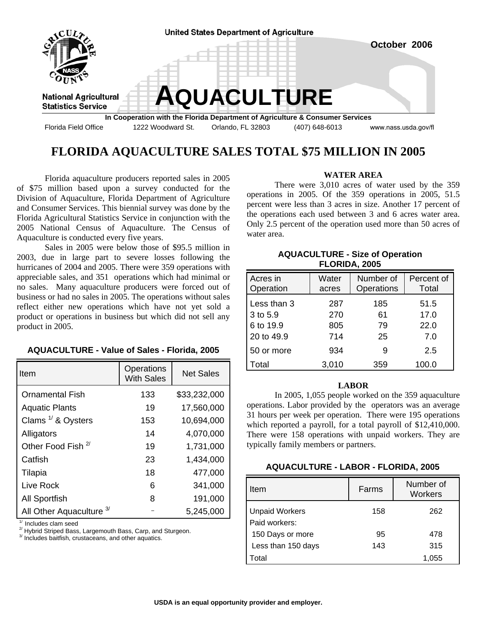

# **FLORIDA AQUACULTURE SALES TOTAL \$75 MILLION IN 2005**

 Florida aquaculture producers reported sales in 2005 of \$75 million based upon a survey conducted for the Division of Aquaculture, Florida Department of Agriculture and Consumer Services. This biennial survey was done by the Florida Agricultural Statistics Service in conjunction with the 2005 National Census of Aquaculture. The Census of Aquaculture is conducted every five years.

 Sales in 2005 were below those of \$95.5 million in 2003, due in large part to severe losses following the hurricanes of 2004 and 2005. There were 359 operations with appreciable sales, and 351 operations which had minimal or no sales. Many aquaculture producers were forced out of business or had no sales in 2005. The operations without sales reflect either new operations which have not yet sold a product or operations in business but which did not sell any product in 2005.

| <b>AQUACULTURE - Value of Sales - Florida, 2005</b> |  |  |
|-----------------------------------------------------|--|--|
|-----------------------------------------------------|--|--|

| Item                                | Operations<br><b>With Sales</b> | <b>Net Sales</b> |
|-------------------------------------|---------------------------------|------------------|
| <b>Ornamental Fish</b>              | 133                             | \$33,232,000     |
| <b>Aquatic Plants</b>               | 19                              | 17,560,000       |
| Clams $1/$ & Oysters                | 153                             | 10,694,000       |
| Alligators                          | 14                              | 4,070,000        |
| Other Food Fish <sup>2/</sup>       | 19                              | 1,731,000        |
| Catfish                             | 23                              | 1,434,000        |
| Tilapia                             | 18                              | 477,000          |
| Live Rock                           | 6                               | 341,000          |
| <b>All Sportfish</b>                | 8                               | 191,000          |
| All Other Aquaculture <sup>3/</sup> |                                 | 5,245,000        |

 $\frac{1}{2}$  Includes clam seed<br> $\frac{2}{2}$  Hybrid Striped Bass, Largemouth Bass, Carp, and Sturgeon.

<sup>3/</sup> Includes baitfish, crustaceans, and other aquatics.

#### **WATER AREA**

 There were 3,010 acres of water used by the 359 operations in 2005. Of the 359 operations in 2005, 51.5 percent were less than 3 acres in size. Another 17 percent of the operations each used between 3 and 6 acres water area. Only 2.5 percent of the operation used more than 50 acres of water area.

# **AQUACULTURE - Size of Operation FLORIDA, 2005**

| Acres in<br>Operation | Water<br>acres | Number of<br>Operations | Percent of<br>Total |
|-----------------------|----------------|-------------------------|---------------------|
| Less than 3           | 287            | 185                     | 51.5                |
| 3 to 5.9              | 270            | 61                      | 17.0                |
| 6 to 19.9             | 805            | 79                      | 22.0                |
| 20 to 49.9            | 714            | 25                      | 7.0                 |
| 50 or more            | 934            | 9                       | 2.5                 |
| Total                 | 3,010          | 359                     | 100.0               |

#### **LABOR**

 In 2005, 1,055 people worked on the 359 aquaculture operations. Labor provided by the operators was an average 31 hours per week per operation. There were 195 operations which reported a payroll, for a total payroll of \$12,410,000. There were 158 operations with unpaid workers. They are typically family members or partners.

### **AQUACULTURE - LABOR - FLORIDA, 2005**

| Item                                   | Farms | Number of<br><b>Workers</b> |
|----------------------------------------|-------|-----------------------------|
| <b>Unpaid Workers</b><br>Paid workers: | 158   | 262                         |
| 150 Days or more                       | 95    | 478                         |
| Less than 150 days                     | 143   | 315                         |
| Total                                  |       | 1,055                       |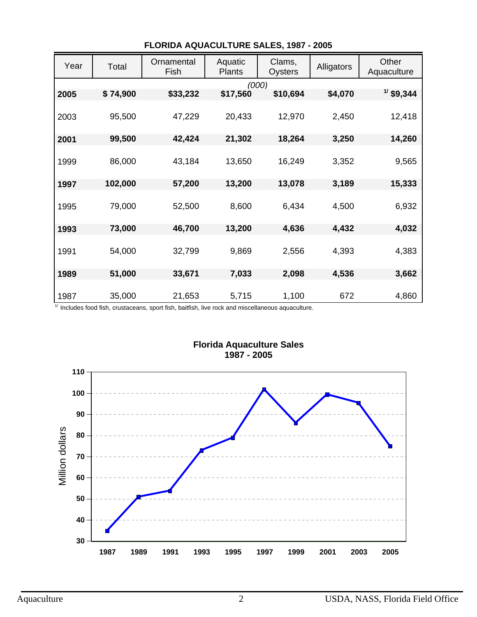| Year | Total    | Ornamental<br>Fish | Aquatic<br><b>Plants</b> | Clams,<br>Oysters | Alligators | Other<br>Aquaculture |
|------|----------|--------------------|--------------------------|-------------------|------------|----------------------|
| 2005 | \$74,900 | \$33,232           | \$17,560                 | (000)<br>\$10,694 | \$4,070    | $1/$ \$9,344         |
|      |          |                    |                          |                   |            |                      |
| 2003 | 95,500   | 47,229             | 20,433                   | 12,970            | 2,450      | 12,418               |
| 2001 | 99,500   | 42,424             | 21,302                   | 18,264            | 3,250      | 14,260               |
| 1999 | 86,000   | 43,184             | 13,650                   | 16,249            | 3,352      | 9,565                |
|      |          |                    |                          |                   |            |                      |
| 1997 | 102,000  | 57,200             | 13,200                   | 13,078            | 3,189      | 15,333               |
| 1995 | 79,000   | 52,500             | 8,600                    | 6,434             | 4,500      | 6,932                |
| 1993 | 73,000   | 46,700             | 13,200                   | 4,636             | 4,432      | 4,032                |
| 1991 | 54,000   | 32,799             | 9,869                    | 2,556             | 4,393      | 4,383                |
| 1989 | 51,000   | 33,671             | 7,033                    | 2,098             | 4,536      | 3,662                |
| 1987 | 35,000   | 21,653             | 5,715                    | 1,100             | 672        | 4,860                |

# **FLORIDA AQUACULTURE SALES, 1987 - 2005**

 $1/$  Includes food fish, crustaceans, sport fish, baitfish, live rock and miscellaneous aquaculture.



# **Florida Aquaculture Sales 1987 - 2005**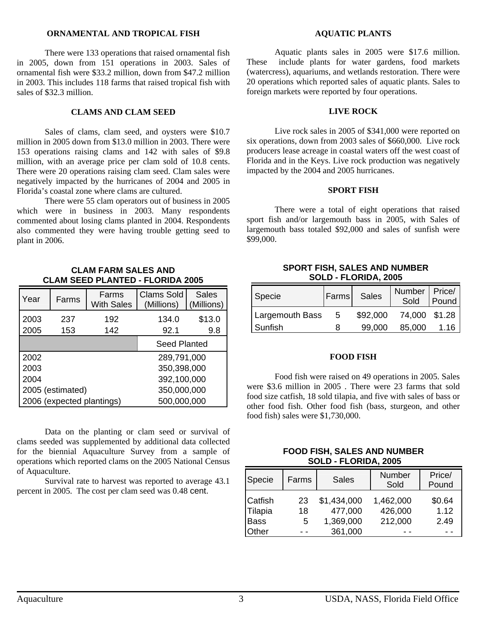#### **ORNAMENTAL AND TROPICAL FISH**

 There were 133 operations that raised ornamental fish in 2005, down from 151 operations in 2003. Sales of ornamental fish were \$33.2 million, down from \$47.2 million in 2003. This includes 118 farms that raised tropical fish with sales of \$32.3 million.

## **CLAMS AND CLAM SEED**

 Sales of clams, clam seed, and oysters were \$10.7 million in 2005 down from \$13.0 million in 2003. There were 153 operations raising clams and 142 with sales of \$9.8 million, with an average price per clam sold of 10.8 cents. There were 20 operations raising clam seed. Clam sales were negatively impacted by the hurricanes of 2004 and 2005 in Florida's coastal zone where clams are cultured.

 There were 55 clam operators out of business in 2005 which were in business in 2003. Many respondents commented about losing clams planted in 2004. Respondents also commented they were having trouble getting seed to plant in 2006.

> **CLAM FARM SALES AND CLAM SEED PLANTED - FLORIDA 2005**

| Year                      | Farms | Farms<br><b>With Sales</b> | <b>Clams Sold</b><br>(Millions) | <b>Sales</b><br>(Millions) |  |
|---------------------------|-------|----------------------------|---------------------------------|----------------------------|--|
| 2003                      | 237   | 192                        | 134.0                           | \$13.0                     |  |
| 2005                      | 153   | 142                        | 92.1                            | 9.8                        |  |
|                           |       |                            | <b>Seed Planted</b>             |                            |  |
| 2002                      |       | 289,791,000                |                                 |                            |  |
| 2003                      |       | 350,398,000                |                                 |                            |  |
| 2004                      |       | 392,100,000                |                                 |                            |  |
| 2005 (estimated)          |       | 350,000,000                |                                 |                            |  |
| 2006 (expected plantings) |       | 500,000,000                |                                 |                            |  |

Data on the planting or clam seed or survival of clams seeded was supplemented by additional data collected for the biennial Aquaculture Survey from a sample of operations which reported clams on the 2005 National Census of Aquaculture.

Survival rate to harvest was reported to average 43.1 percent in 2005. The cost per clam seed was 0.48 cent.

#### **AQUATIC PLANTS**

Aquatic plants sales in 2005 were \$17.6 million. These include plants for water gardens, food markets (watercress), aquariums, and wetlands restoration. There were 20 operations which reported sales of aquatic plants. Sales to foreign markets were reported by four operations.

## **LIVE ROCK**

 Live rock sales in 2005 of \$341,000 were reported on six operations, down from 2003 sales of \$660,000. Live rock producers lease acreage in coastal waters off the west coast of Florida and in the Keys. Live rock production was negatively impacted by the 2004 and 2005 hurricanes.

#### **SPORT FISH**

There were a total of eight operations that raised sport fish and/or largemouth bass in 2005, with Sales of largemouth bass totaled \$92,000 and sales of sunfish were \$99,000.

### **SPORT FISH, SALES AND NUMBER SOLD - FLORIDA, 2005**

| Specie                 | Farms | Sales    | Number   Price/<br>Sold | Pound |
|------------------------|-------|----------|-------------------------|-------|
| <b>Largemouth Bass</b> | - 5   | \$92,000 | 74,000 \$1.28           |       |
| Sunfish                | я     | 99.000   | 85,000                  | 1.16  |

### **FOOD FISH**

Food fish were raised on 49 operations in 2005. Sales were \$3.6 million in 2005 . There were 23 farms that sold food size catfish, 18 sold tilapia, and five with sales of bass or other food fish. Other food fish (bass, sturgeon, and other food fish) sales were \$1,730,000.

### **FOOD FISH, SALES AND NUMBER SOLD - FLORIDA, 2005**

| Specie                                            | Farms         | <b>Sales</b>                                   | Number<br>Sold                  | Price/<br>Pound        |
|---------------------------------------------------|---------------|------------------------------------------------|---------------------------------|------------------------|
| <b>Catfish</b><br>Tilapia<br><b>Bass</b><br>Other | 23<br>18<br>5 | \$1,434,000<br>477,000<br>1,369,000<br>361,000 | 1,462,000<br>426,000<br>212,000 | \$0.64<br>1.12<br>2.49 |